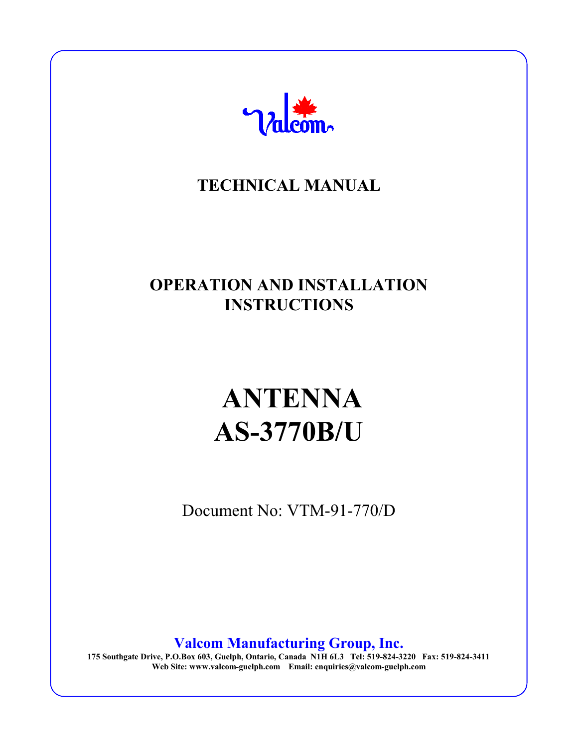

### **TECHNICAL MANUAL**

### **OPERATION AND INSTALLATION INSTRUCTIONS**

# **ANTENNA AS-3770B/U**

Document No: VTM-91-770/D

**Valcom Manufacturing Group, Inc.**

**175 Southgate Drive, P.O.Box 603, Guelph, Ontario, Canada N1H 6L3 Tel: 519-824-3220 Fax: 519-824-3411 Web Site: www.valcom-guelph.com Email: enquiries@valcom-guelph.com**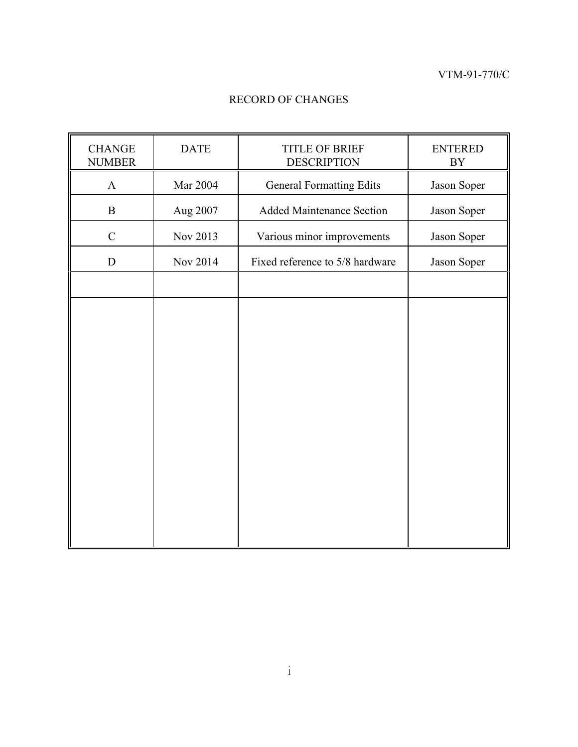#### RECORD OF CHANGES

| <b>CHANGE</b><br><b>NUMBER</b> | <b>DATE</b> | <b>TITLE OF BRIEF</b><br><b>DESCRIPTION</b> | <b>ENTERED</b><br><b>BY</b> |  |
|--------------------------------|-------------|---------------------------------------------|-----------------------------|--|
| $\mathbf{A}$                   | Mar 2004    | <b>General Formatting Edits</b>             | Jason Soper                 |  |
| $\bf{B}$                       | Aug 2007    | <b>Added Maintenance Section</b>            | Jason Soper                 |  |
| $\mathcal{C}$                  | Nov 2013    | Various minor improvements                  | Jason Soper                 |  |
| $\mathbf D$                    | Nov 2014    | Fixed reference to 5/8 hardware             | Jason Soper                 |  |
|                                |             |                                             |                             |  |
|                                |             |                                             |                             |  |
|                                |             |                                             |                             |  |
|                                |             |                                             |                             |  |
|                                |             |                                             |                             |  |
|                                |             |                                             |                             |  |
|                                |             |                                             |                             |  |
|                                |             |                                             |                             |  |
|                                |             |                                             |                             |  |
|                                |             |                                             |                             |  |
|                                |             |                                             |                             |  |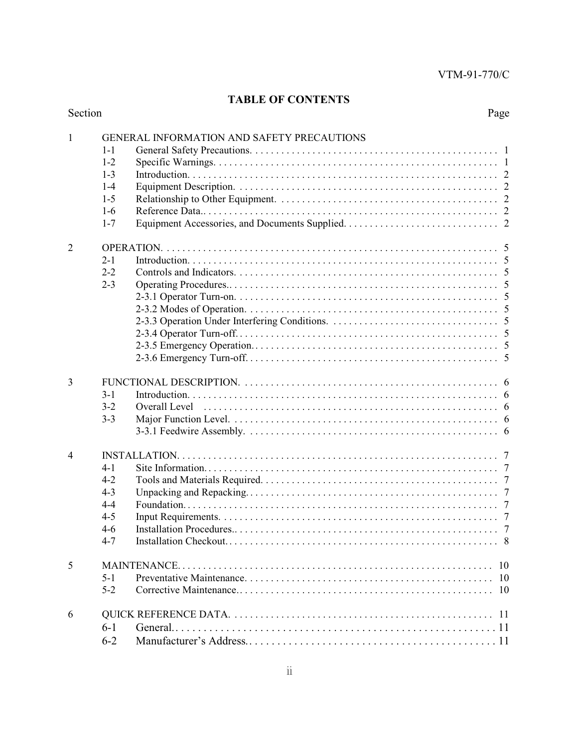#### **TABLE OF CONTENTS**

| Section | Page |
|---------|------|
|---------|------|

| -1             | <b>GENERAL INFORMATION AND SAFETY PRECAUTIONS</b> |     |
|----------------|---------------------------------------------------|-----|
|                | $1 - 1$                                           |     |
|                | $1 - 2$                                           |     |
|                | $1 - 3$                                           |     |
|                | $1 - 4$                                           |     |
|                | $1-5$                                             |     |
|                | $1-6$                                             |     |
|                | $1 - 7$                                           |     |
| $\overline{2}$ |                                                   |     |
|                | $2 - 1$                                           |     |
|                | $2 - 2$                                           |     |
|                | $2 - 3$                                           |     |
|                |                                                   |     |
|                |                                                   |     |
|                |                                                   |     |
|                |                                                   |     |
|                |                                                   |     |
|                |                                                   |     |
|                |                                                   |     |
| $\overline{3}$ |                                                   |     |
|                | $3-1$                                             |     |
|                | $3 - 2$                                           |     |
|                | $3 - 3$                                           |     |
|                |                                                   |     |
| $\overline{4}$ |                                                   |     |
|                | $4 - 1$                                           |     |
|                | $4 - 2$                                           |     |
|                | $4 - 3$                                           |     |
|                | $4 - 4$                                           |     |
|                | $4 - 5$                                           |     |
|                | $4-6$                                             |     |
|                | $4 - 7$                                           |     |
| 5              |                                                   | 10  |
|                | $5-1$                                             | -10 |
|                | $5 - 2$                                           |     |
|                |                                                   |     |
| 6              |                                                   | -11 |
|                | $6-1$                                             |     |
|                | $6 - 2$                                           |     |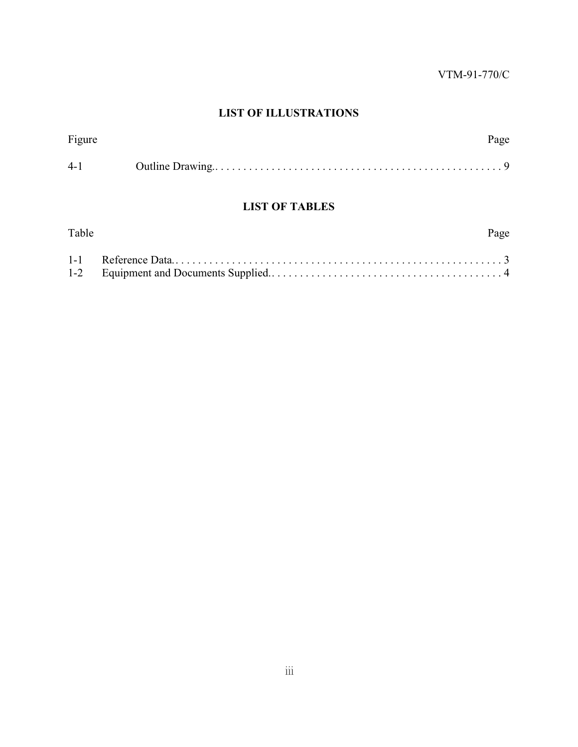#### **LIST OF ILLUSTRATIONS**

| Figure  | Page |
|---------|------|
| $4 - 1$ |      |

#### **LIST OF TABLES**

| Table | Page |  |
|-------|------|--|
|       |      |  |
|       |      |  |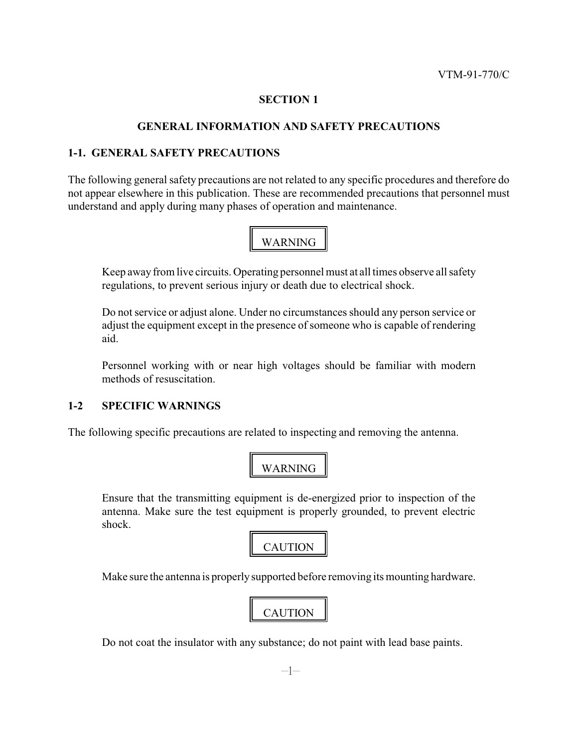#### **GENERAL INFORMATION AND SAFETY PRECAUTIONS**

#### **1-1. GENERAL SAFETY PRECAUTIONS**

The following general safety precautions are not related to any specific procedures and therefore do not appear elsewhere in this publication. These are recommended precautions that personnel must understand and apply during many phases of operation and maintenance.

### WARNING

Keep away from live circuits. Operating personnel must at all times observe all safety regulations, to prevent serious injury or death due to electrical shock.

Do not service or adjust alone. Under no circumstances should any person service or adjust the equipment except in the presence of someone who is capable of rendering aid.

Personnel working with or near high voltages should be familiar with modern methods of resuscitation.

#### **1-2 SPECIFIC WARNINGS**

The following specific precautions are related to inspecting and removing the antenna.

#### WARNING

Ensure that the transmitting equipment is de-energized prior to inspection of the antenna. Make sure the test equipment is properly grounded, to prevent electric shock.

#### **CAUTION**

Make sure the antenna is properly supported before removing its mounting hardware.

## **CAUTION**

Do not coat the insulator with any substance; do not paint with lead base paints.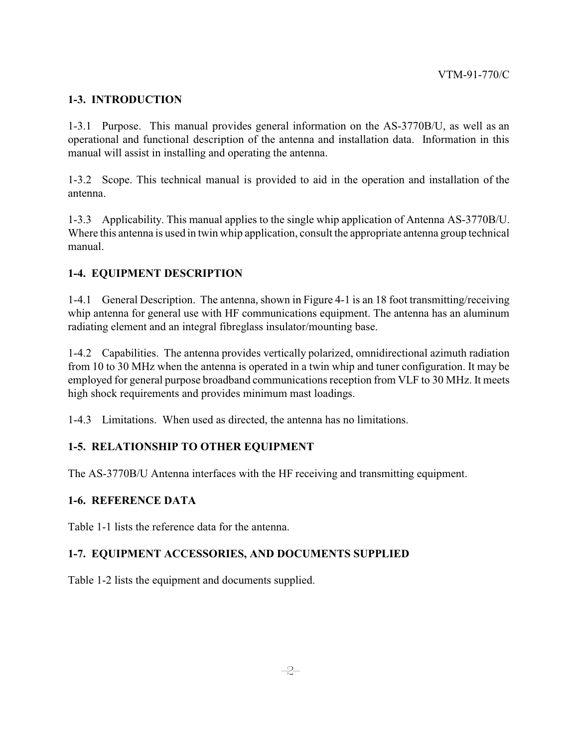#### **1-3. INTRODUCTION**

1-3.1 Purpose. This manual provides general information on the AS-3770B/U, as well as an operational and functional description of the antenna and installation data. Information in this manual will assist in installing and operating the antenna.

1-3.2 Scope. This technical manual is provided to aid in the operation and installation of the antenna.

1-3.3 Applicability. This manual applies to the single whip application of Antenna AS-3770B/U. Where this antenna is used in twin whip application, consult the appropriate antenna group technical manual.

#### **1-4. EQUIPMENT DESCRIPTION**

1-4.1 General Description. The antenna, shown in Figure 4-1 is an 18 foot transmitting/receiving whip antenna for general use with HF communications equipment. The antenna has an aluminum radiating element and an integral fibreglass insulator/mounting base.

1-4.2 Capabilities. The antenna provides vertically polarized, omnidirectional azimuth radiation from 10 to 30 MHz when the antenna is operated in a twin whip and tuner configuration. It may be employed for general purpose broadband communications reception from VLF to 30 MHz. It meets high shock requirements and provides minimum mast loadings.

1-4.3 Limitations. When used as directed, the antenna has no limitations.

#### **1-5. RELATIONSHIP TO OTHER EQUIPMENT**

The AS-3770B/U Antenna interfaces with the HF receiving and transmitting equipment.

#### **1-6. REFERENCE DATA**

Table 1-1 lists the reference data for the antenna.

#### **1-7. EQUIPMENT ACCESSORIES, AND DOCUMENTS SUPPLIED**

Table 1-2 lists the equipment and documents supplied.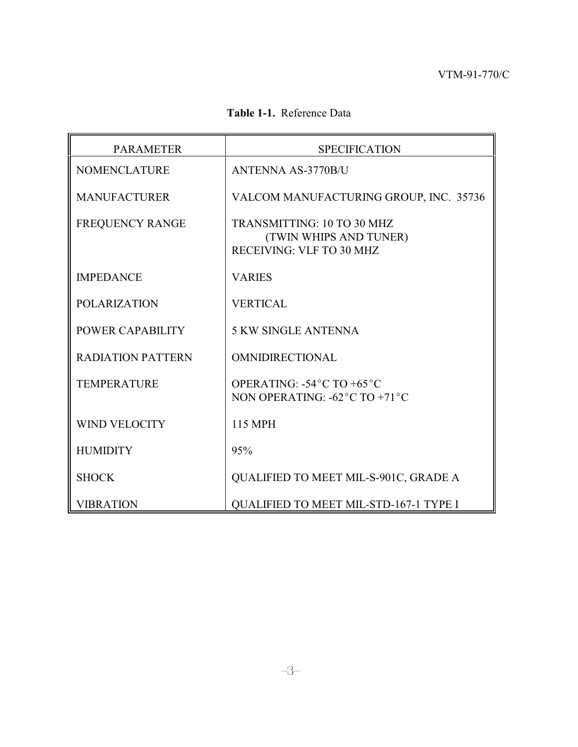**Table 1-1.** Reference Data

| <b>PARAMETER</b>         | <b>SPECIFICATION</b>                                                                               |  |  |
|--------------------------|----------------------------------------------------------------------------------------------------|--|--|
| <b>NOMENCLATURE</b>      | <b>ANTENNA AS-3770B/U</b>                                                                          |  |  |
| <b>MANUFACTURER</b>      | VALCOM MANUFACTURING GROUP, INC. 35736                                                             |  |  |
| <b>FREQUENCY RANGE</b>   | <b>TRANSMITTING: 10 TO 30 MHZ</b><br>(TWIN WHIPS AND TUNER)<br>RECEIVING: VLF TO 30 MHZ            |  |  |
| <b>IMPEDANCE</b>         | <b>VARIES</b>                                                                                      |  |  |
| <b>POLARIZATION</b>      | <b>VERTICAL</b>                                                                                    |  |  |
| POWER CAPABILITY         | <b>5 KW SINGLE ANTENNA</b>                                                                         |  |  |
| <b>RADIATION PATTERN</b> | <b>OMNIDIRECTIONAL</b>                                                                             |  |  |
| <b>TEMPERATURE</b>       | OPERATING: $-54^{\circ}$ C TO $+65^{\circ}$ C<br>NON OPERATING: $-62^{\circ}$ C TO $+71^{\circ}$ C |  |  |
| <b>WIND VELOCITY</b>     | <b>115 MPH</b>                                                                                     |  |  |
| <b>HUMIDITY</b>          | 95%                                                                                                |  |  |
| <b>SHOCK</b>             | QUALIFIED TO MEET MIL-S-901C, GRADE A                                                              |  |  |
| <b>VIBRATION</b>         | <b>QUALIFIED TO MEET MIL-STD-167-1 TYPE I</b>                                                      |  |  |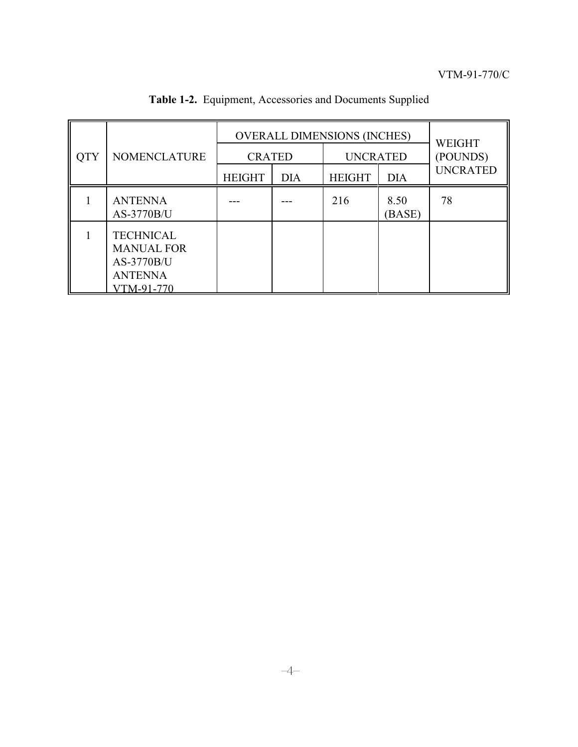|            | <b>NOMENCLATURE</b>                                                                 | <b>OVERALL DIMENSIONS (INCHES)</b> |            |                 |                | <b>WEIGHT</b>   |
|------------|-------------------------------------------------------------------------------------|------------------------------------|------------|-----------------|----------------|-----------------|
| <b>QTY</b> |                                                                                     | <b>CRATED</b>                      |            | <b>UNCRATED</b> |                | (POUNDS)        |
|            |                                                                                     | <b>HEIGHT</b>                      | <b>DIA</b> | <b>HEIGHT</b>   | <b>DIA</b>     | <b>UNCRATED</b> |
|            | <b>ANTENNA</b><br>AS-3770B/U                                                        |                                    |            | 216             | 8.50<br>(BASE) | 78              |
|            | <b>TECHNICAL</b><br><b>MANUAL FOR</b><br>AS-3770B/U<br><b>ANTENNA</b><br>VTM-91-770 |                                    |            |                 |                |                 |

**Table 1-2.** Equipment, Accessories and Documents Supplied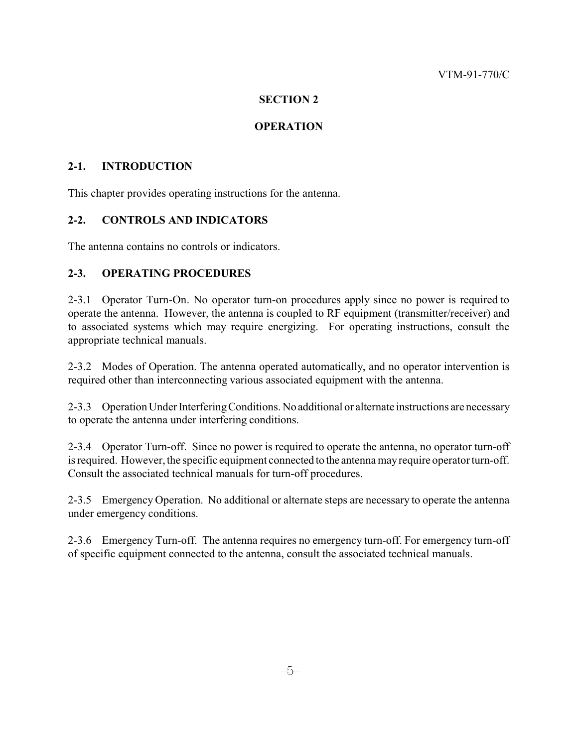#### **OPERATION**

#### **2-1. INTRODUCTION**

This chapter provides operating instructions for the antenna.

#### **2-2. CONTROLS AND INDICATORS**

The antenna contains no controls or indicators.

#### **2-3. OPERATING PROCEDURES**

2-3.1 Operator Turn-On. No operator turn-on procedures apply since no power is required to operate the antenna. However, the antenna is coupled to RF equipment (transmitter/receiver) and to associated systems which may require energizing. For operating instructions, consult the appropriate technical manuals.

2-3.2 Modes of Operation. The antenna operated automatically, and no operator intervention is required other than interconnecting various associated equipment with the antenna.

2-3.3 Operation Under Interfering Conditions. No additional or alternate instructions are necessary to operate the antenna under interfering conditions.

2-3.4 Operator Turn-off. Since no power is required to operate the antenna, no operator turn-off isrequired. However, the specific equipment connected to the antenna mayrequire operator turn-off. Consult the associated technical manuals for turn-off procedures.

2-3.5 Emergency Operation. No additional or alternate steps are necessary to operate the antenna under emergency conditions.

2-3.6 Emergency Turn-off. The antenna requires no emergency turn-off. For emergency turn-off of specific equipment connected to the antenna, consult the associated technical manuals.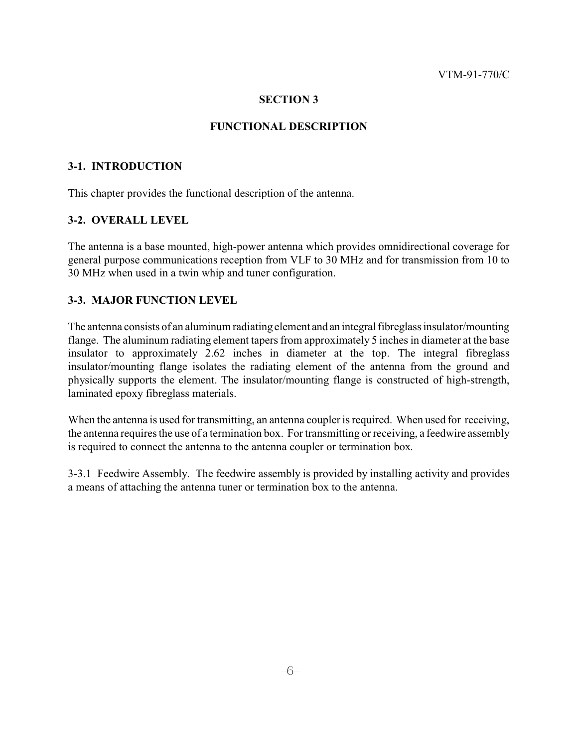#### **FUNCTIONAL DESCRIPTION**

#### **3-1. INTRODUCTION**

This chapter provides the functional description of the antenna.

#### **3-2. OVERALL LEVEL**

The antenna is a base mounted, high-power antenna which provides omnidirectional coverage for general purpose communications reception from VLF to 30 MHz and for transmission from 10 to 30 MHz when used in a twin whip and tuner configuration.

#### **3-3. MAJOR FUNCTION LEVEL**

The antenna consists of an aluminum radiating element and an integral fibreglass insulator/mounting flange. The aluminum radiating element tapers from approximately 5 inches in diameter at the base insulator to approximately 2.62 inches in diameter at the top. The integral fibreglass insulator/mounting flange isolates the radiating element of the antenna from the ground and physically supports the element. The insulator/mounting flange is constructed of high-strength, laminated epoxy fibreglass materials.

When the antenna is used for transmitting, an antenna coupler is required. When used for receiving, the antenna requires the use of a termination box. For transmitting or receiving, a feedwire assembly is required to connect the antenna to the antenna coupler or termination box.

3-3.1 Feedwire Assembly. The feedwire assembly is provided by installing activity and provides a means of attaching the antenna tuner or termination box to the antenna.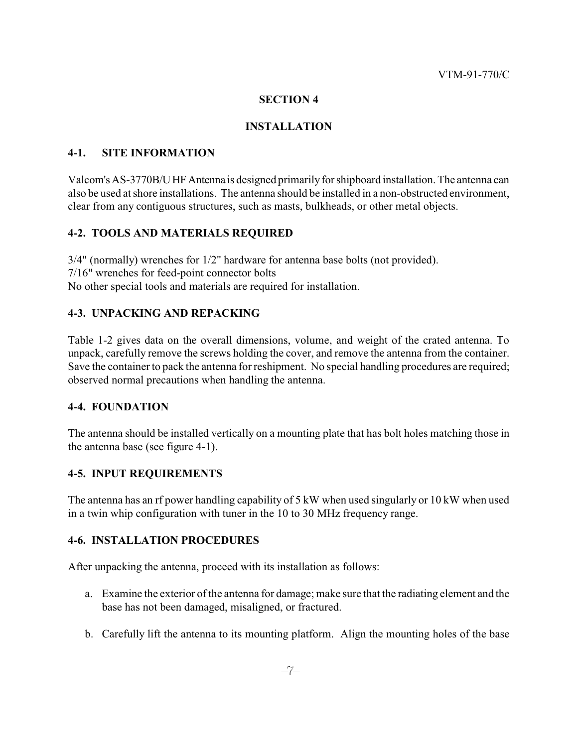#### **INSTALLATION**

#### **4-1. SITE INFORMATION**

Valcom's AS-3770B/UHF Antenna is designed primarily for shipboard installation. The antenna can also be used at shore installations. The antenna should be installed in a non-obstructed environment, clear from any contiguous structures, such as masts, bulkheads, or other metal objects.

#### **4-2. TOOLS AND MATERIALS REQUIRED**

3/4" (normally) wrenches for 1/2" hardware for antenna base bolts (not provided). 7/16" wrenches for feed-point connector bolts No other special tools and materials are required for installation.

#### **4-3. UNPACKING AND REPACKING**

Table 1-2 gives data on the overall dimensions, volume, and weight of the crated antenna. To unpack, carefully remove the screws holding the cover, and remove the antenna from the container. Save the container to pack the antenna for reshipment. No special handling procedures are required; observed normal precautions when handling the antenna.

#### **4-4. FOUNDATION**

The antenna should be installed vertically on a mounting plate that has bolt holes matching those in the antenna base (see figure 4-1).

#### **4-5. INPUT REQUIREMENTS**

The antenna has an rf power handling capability of 5 kW when used singularly or 10 kW when used in a twin whip configuration with tuner in the 10 to 30 MHz frequency range.

#### **4-6. INSTALLATION PROCEDURES**

After unpacking the antenna, proceed with its installation as follows:

- a. Examine the exterior of the antenna for damage; make sure that the radiating element and the base has not been damaged, misaligned, or fractured.
- b. Carefully lift the antenna to its mounting platform. Align the mounting holes of the base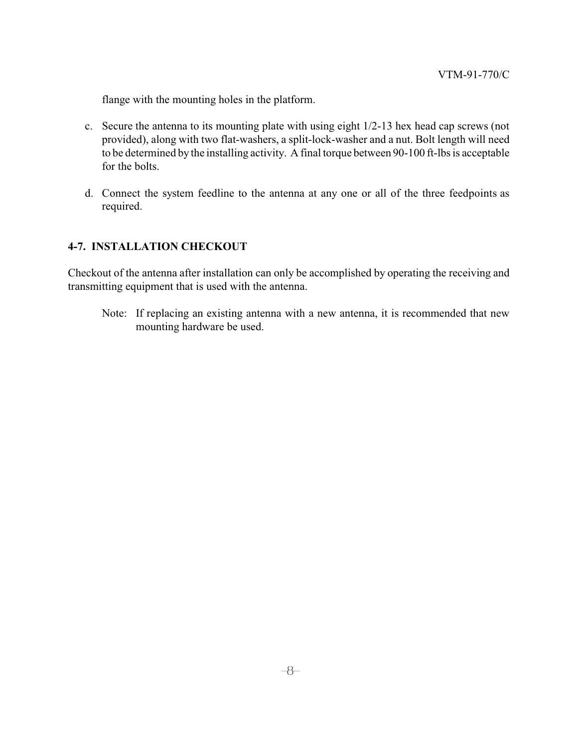flange with the mounting holes in the platform.

- c. Secure the antenna to its mounting plate with using eight 1/2-13 hex head cap screws (not provided), along with two flat-washers, a split-lock-washer and a nut. Bolt length will need to be determined by the installing activity. A final torque between 90-100 ft-lbs is acceptable for the bolts.
- d. Connect the system feedline to the antenna at any one or all of the three feedpoints as required.

#### **4-7. INSTALLATION CHECKOUT**

Checkout of the antenna after installation can only be accomplished by operating the receiving and transmitting equipment that is used with the antenna.

Note: If replacing an existing antenna with a new antenna, it is recommended that new mounting hardware be used.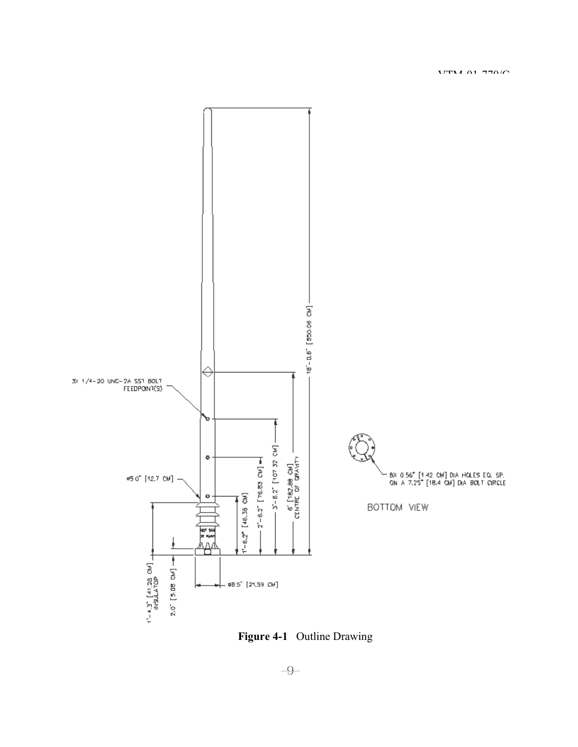

**Figure 4-1** Outline Drawing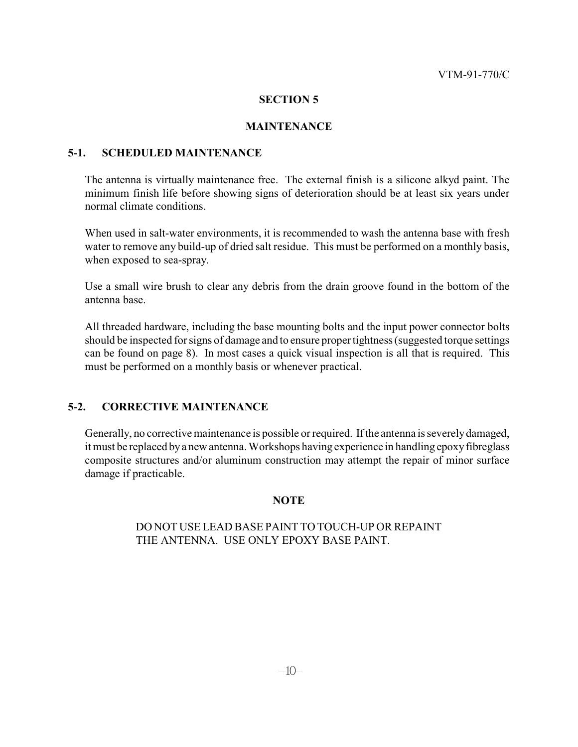#### **MAINTENANCE**

#### **5-1. SCHEDULED MAINTENANCE**

The antenna is virtually maintenance free. The external finish is a silicone alkyd paint. The minimum finish life before showing signs of deterioration should be at least six years under normal climate conditions.

When used in salt-water environments, it is recommended to wash the antenna base with fresh water to remove any build-up of dried salt residue. This must be performed on a monthly basis, when exposed to sea-spray.

Use a small wire brush to clear any debris from the drain groove found in the bottom of the antenna base.

All threaded hardware, including the base mounting bolts and the input power connector bolts should be inspected for signs of damage and to ensure proper tightness (suggested torque settings can be found on page 8). In most cases a quick visual inspection is all that is required. This must be performed on a monthly basis or whenever practical.

#### **5-2. CORRECTIVE MAINTENANCE**

Generally, no corrective maintenance is possible or required. If the antenna is severely damaged, itmust be replaced bya new antenna. Workshops having experience in handling epoxyfibreglass composite structures and/or aluminum construction may attempt the repair of minor surface damage if practicable.

#### **NOTE**

#### DO NOT USE LEAD BASE PAINT TO TOUCH-UP OR REPAINT THE ANTENNA. USE ONLY EPOXY BASE PAINT.